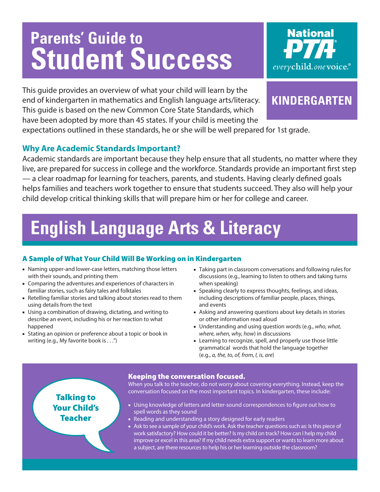# **Parents' Guide to Student Success**

This guide provides an overview of what your child will learn by the end of kindergarten in mathematics and English language arts/literacy. This guide is based on the new Common Core State Standards, which have been adopted by more than 45 states. If your child is meeting the

expectations outlined in these standards, he or she will be well prepared for 1st grade.

## **Why Are Academic Standards Important?**

Academic standards are important because they help ensure that all students, no matter where they live, are prepared for success in college and the workforce. Standards provide an important first step — a clear roadmap for learning for teachers, parents, and students. Having clearly defined goals helps families and teachers work together to ensure that students succeed. They also will help your child develop critical thinking skills that will prepare him or her for college and career.

# **English Language Arts & Literacy**

### A Sample of What Your Child Will Be Working on in Kindergarten

- Naming upper-and lower-case letters, matching those letters with their sounds, and printing them
- Comparing the adventures and experiences of characters in familiar stories, such as fairy tales and folktales
- Retelling familiar stories and talking about stories read to them using details from the text
- Using a combination of drawing, dictating, and writing to describe an event, including his or her reaction to what happened
- Stating an opinion or preference about a topic or book in writing (e.g., My favorite book is . . .")
- Taking part in classroom conversations and following rules for discussions (e.g., learning to listen to others and taking turns when speaking)
- Speaking clearly to express thoughts, feelings, and ideas, including descriptions of familiar people, places, things, and events
- Asking and answering questions about key details in stories or other information read aloud
- Understanding and using question words (e.g., *who, what, where, when, why, how*) in discussions
- Learning to recognize, spell, and properly use those little grammatical words that hold the language together (e.g., *a, the, to, of, from, I, is, are*)

### Keeping the conversation focused.

When you talk to the teacher, do not worry about covering everything. Instead, keep the conversation focused on the most important topics. In kindergarten, these include:

- Using knowledge of letters and letter-sound correspondences to figure out how to spell words as they sound
- Reading and understanding a story designed for early readers
- Ask to see a sample of your child's work. Ask the teacher questions such as: Is this piece of work satisfactory? How could it be better? Is my child on track? How can I help my child improve or excel in this area? If my child needs extra support or wants to learn more about a subject, are there resources to help his or her learning outside the classroom?

Talking to Your Child's Teacher

# **National** everychild.onevoice.®

## **kindergarten**